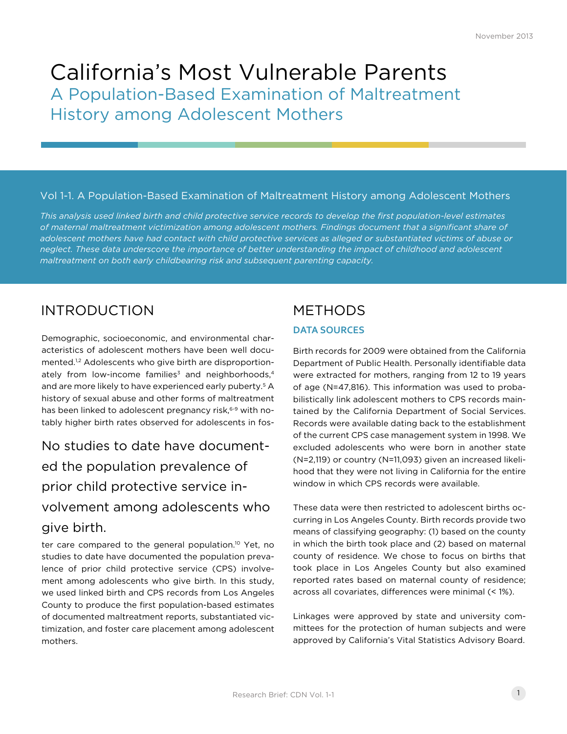# California's Most Vulnerable Parents A Population-Based Examination of Maltreatment History among Adolescent Mothers

#### Vol 1-1. A Population-Based Examination of Maltreatment History among Adolescent Mothers

*This analysis used linked birth and child protective service records to develop the first population-level estimates of maternal maltreatment victimization among adolescent mothers. Findings document that a significant share of*  adolescent mothers have had contact with child protective services as alleged or substantiated victims of abuse or *neglect. These data underscore the importance of better understanding the impact of childhood and adolescent maltreatment on both early childbearing risk and subsequent parenting capacity.*

## INTRODUCTION METHODS

Demographic, socioeconomic, and environmental characteristics of adolescent mothers have been well documented.<sup>1,2</sup> Adolescents who give birth are disproportionately from low-income families<sup>3</sup> and neighborhoods.<sup>4</sup> and are more likely to have experienced early puberty.<sup>5</sup> A history of sexual abuse and other forms of maltreatment has been linked to adolescent pregnancy risk,<sup>6-9</sup> with notably higher birth rates observed for adolescents in fos-

# No studies to date have documented the population prevalence of prior child protective service involvement among adolescents who give birth.

ter care compared to the general population.<sup>10</sup> Yet, no studies to date have documented the population prevalence of prior child protective service (CPS) involvement among adolescents who give birth. In this study, we used linked birth and CPS records from Los Angeles County to produce the first population-based estimates of documented maltreatment reports, substantiated victimization, and foster care placement among adolescent mothers.

#### **DATA SOURCES**

Birth records for 2009 were obtained from the California Department of Public Health. Personally identifiable data were extracted for mothers, ranging from 12 to 19 years of age (N=47,816). This information was used to probabilistically link adolescent mothers to CPS records maintained by the California Department of Social Services. Records were available dating back to the establishment of the current CPS case management system in 1998. We excluded adolescents who were born in another state (N=2,119) or country (N=11,093) given an increased likelihood that they were not living in California for the entire window in which CPS records were available.

These data were then restricted to adolescent births occurring in Los Angeles County. Birth records provide two means of classifying geography: (1) based on the county in which the birth took place and (2) based on maternal county of residence. We chose to focus on births that took place in Los Angeles County but also examined reported rates based on maternal county of residence; across all covariates, differences were minimal (< 1%).

Linkages were approved by state and university committees for the protection of human subjects and were approved by California's Vital Statistics Advisory Board.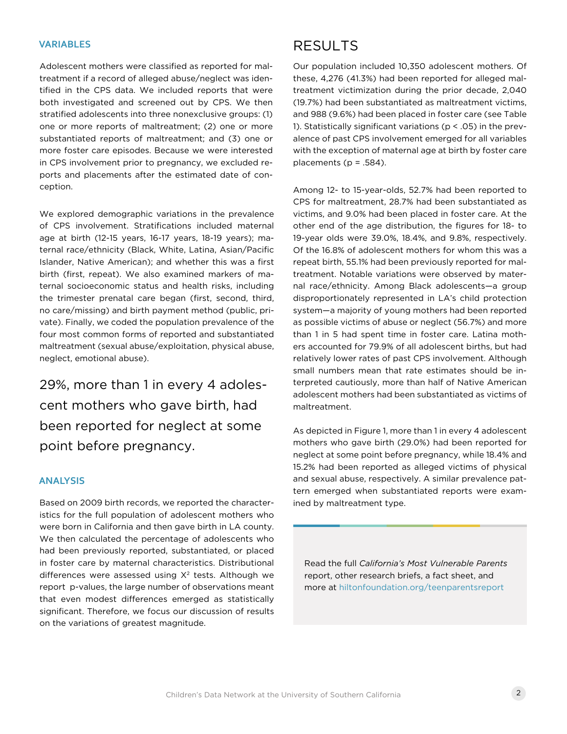#### **VARIABLES**

Adolescent mothers were classified as reported for maltreatment if a record of alleged abuse/neglect was identified in the CPS data. We included reports that were both investigated and screened out by CPS. We then stratified adolescents into three nonexclusive groups: (1) one or more reports of maltreatment; (2) one or more substantiated reports of maltreatment; and (3) one or more foster care episodes. Because we were interested in CPS involvement prior to pregnancy, we excluded reports and placements after the estimated date of conception.

We explored demographic variations in the prevalence of CPS involvement. Stratifications included maternal age at birth (12-15 years, 16-17 years, 18-19 years); maternal race/ethnicity (Black, White, Latina, Asian/Pacific Islander, Native American); and whether this was a first birth (first, repeat). We also examined markers of maternal socioeconomic status and health risks, including the trimester prenatal care began (first, second, third, no care/missing) and birth payment method (public, private). Finally, we coded the population prevalence of the four most common forms of reported and substantiated maltreatment (sexual abuse/exploitation, physical abuse, neglect, emotional abuse).

29%, more than 1 in every 4 adolescent mothers who gave birth, had been reported for neglect at some point before pregnancy.

#### **ANALYSIS**

Based on 2009 birth records, we reported the characteristics for the full population of adolescent mothers who were born in California and then gave birth in LA county. We then calculated the percentage of adolescents who had been previously reported, substantiated, or placed in foster care by maternal characteristics. Distributional differences were assessed using  $X^2$  tests. Although we report p-values, the large number of observations meant that even modest differences emerged as statistically significant. Therefore, we focus our discussion of results on the variations of greatest magnitude.

### RESULTS

Our population included 10,350 adolescent mothers. Of these, 4,276 (41.3%) had been reported for alleged maltreatment victimization during the prior decade, 2,040 (19.7%) had been substantiated as maltreatment victims, and 988 (9.6%) had been placed in foster care (see Table 1). Statistically significant variations (p < .05) in the prevalence of past CPS involvement emerged for all variables with the exception of maternal age at birth by foster care placements ( $p = .584$ ).

Among 12- to 15-year-olds, 52.7% had been reported to CPS for maltreatment, 28.7% had been substantiated as victims, and 9.0% had been placed in foster care. At the other end of the age distribution, the figures for 18- to 19-year olds were 39.0%, 18.4%, and 9.8%, respectively. Of the 16.8% of adolescent mothers for whom this was a repeat birth, 55.1% had been previously reported for maltreatment. Notable variations were observed by maternal race/ethnicity. Among Black adolescents—a group disproportionately represented in LA's child protection system—a majority of young mothers had been reported as possible victims of abuse or neglect (56.7%) and more than 1 in 5 had spent time in foster care. Latina mothers accounted for 79.9% of all adolescent births, but had relatively lower rates of past CPS involvement. Although small numbers mean that rate estimates should be interpreted cautiously, more than half of Native American adolescent mothers had been substantiated as victims of maltreatment.

As depicted in Figure 1, more than 1 in every 4 adolescent mothers who gave birth (29.0%) had been reported for neglect at some point before pregnancy, while 18.4% and 15.2% had been reported as alleged victims of physical and sexual abuse, respectively. A similar prevalence pattern emerged when substantiated reports were examined by maltreatment type.

Read the full *California's Most Vulnerable Parents*  report, other research briefs, a fact sheet, and more at [hiltonfoundation.org/teenparentsreport](http://www.hiltonfoundation.org/teenparentsreport)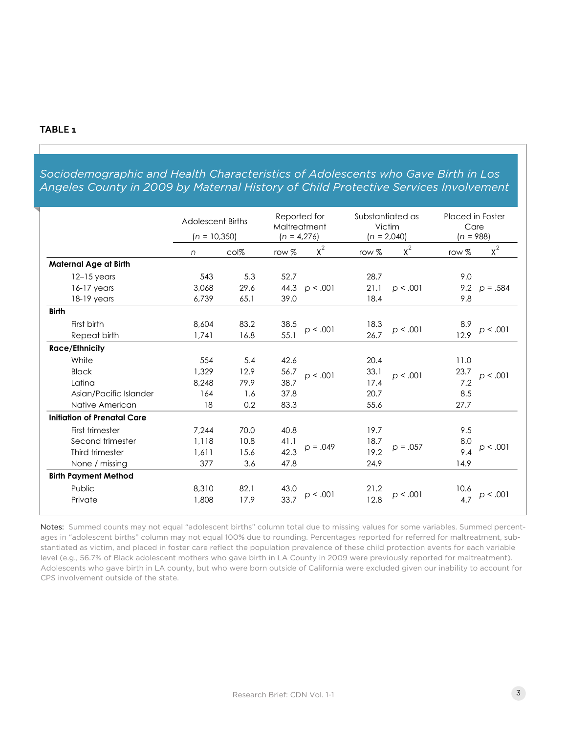#### **TABLE 1**

### *Sociodemographic and Health Characteristics of Adolescents who Gave Birth in Los Angeles County in 2009 by Maternal History of Child Protective Services Involvement*

|                              | <b>Adolescent Births</b><br>$(n = 10,350)$ |      | Reported for<br>Maltreatment<br>$(n = 4,276)$ |            | Substantiated as<br>Victim<br>$(n = 2,040)$ |            | Placed in Foster<br>Care<br>$(n = 988)$ |            |
|------------------------------|--------------------------------------------|------|-----------------------------------------------|------------|---------------------------------------------|------------|-----------------------------------------|------------|
|                              | n                                          | col% | row %                                         | $x^2$      | row %                                       | $x^2$      | row $%$                                 | $x^2$      |
| <b>Maternal Age at Birth</b> |                                            |      |                                               |            |                                             |            |                                         |            |
| $12-15$ years                | 543                                        | 5.3  | 52.7                                          | p < .001   | 28.7                                        |            | 9.0                                     | $p = .584$ |
| $16-17$ years                | 3,068                                      | 29.6 | 44.3                                          |            | 21.1                                        | p < .001   | 9.2                                     |            |
| $18-19$ years                | 6,739                                      | 65.1 | 39.0                                          |            | 18.4                                        |            | 9.8                                     |            |
| <b>Birth</b>                 |                                            |      |                                               |            |                                             |            |                                         |            |
| First birth                  | 8,604                                      | 83.2 | 38.5                                          | p < .001   | 18.3                                        | p < .001   | 8.9                                     | p < .001   |
| Repeat birth                 | 1,741                                      | 16.8 | 55.1                                          |            | 26.7                                        |            | 12.9                                    |            |
| <b>Race/Ethnicity</b>        |                                            |      |                                               |            |                                             |            |                                         |            |
| White                        | 554                                        | 5.4  | 42.6                                          | p < .001   | 20.4                                        | p < .001   | 11.0                                    | p < .001   |
| <b>Black</b>                 | 1,329                                      | 12.9 | 56.7                                          |            | 33.1                                        |            | 23.7                                    |            |
| Latina                       | 8,248                                      | 79.9 | 38.7                                          |            | 17.4                                        |            | 7.2                                     |            |
| Asian/Pacific Islander       | 164                                        | 1.6  | 37.8                                          |            | 20.7                                        |            | 8.5                                     |            |
| Native American              | 18                                         | 0.2  | 83.3                                          |            | 55.6                                        |            | 27.7                                    |            |
| Initiation of Prenatal Care  |                                            |      |                                               |            |                                             |            |                                         |            |
| First trimester              | 7.244                                      | 70.0 | 40.8                                          | $p = .049$ | 19.7                                        | $p = .057$ | 9.5                                     | p < .001   |
| Second trimester             | 1,118                                      | 10.8 | 41.1                                          |            | 18.7                                        |            | 8.0                                     |            |
| Third trimester              | 1,611                                      | 15.6 | 42.3                                          |            | 19.2                                        |            | 9.4                                     |            |
| None / missing               | 377                                        | 3.6  | 47.8                                          |            | 24.9                                        |            | 14.9                                    |            |
| <b>Birth Payment Method</b>  |                                            |      |                                               |            |                                             |            |                                         |            |
| Public                       | 8,310                                      | 82.1 | 43.0                                          | p < .001   | 21.2                                        |            | 10.6                                    | p < .001   |
| Private                      | 1,808                                      | 17.9 | 33.7                                          |            | 12.8                                        | p < .001   | 4.7                                     |            |

Notes: Summed counts may not equal "adolescent births" column total due to missing values for some variables. Summed percentages in "adolescent births" column may not equal 100% due to rounding. Percentages reported for referred for maltreatment, substantiated as victim, and placed in foster care reflect the population prevalence of these child protection events for each variable level (e.g., 56.7% of Black adolescent mothers who gave birth in LA County in 2009 were previously reported for maltreatment). Adolescents who gave birth in LA county, but who were born outside of California were excluded given our inability to account for CPS involvement outside of the state.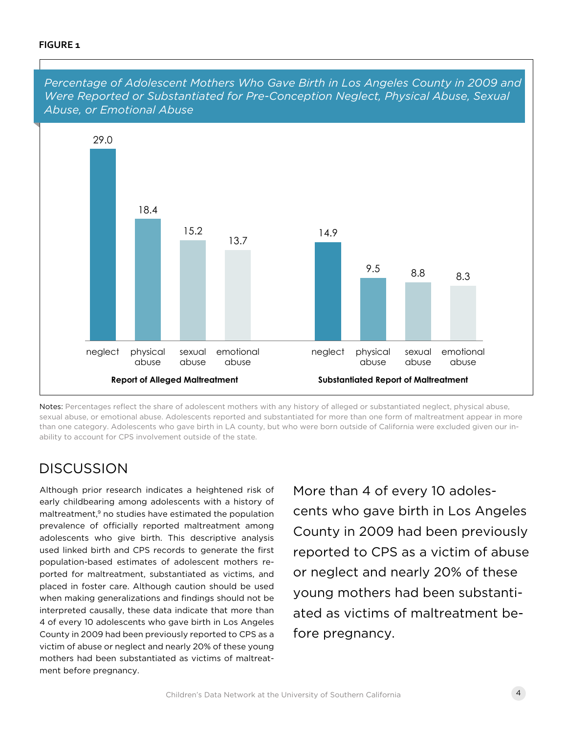#### **FIGURE 1**



*Percentage of Adolescent Mothers Who Gave Birth in Los Angeles County in 2009 and* 

## DISCUSSION

Although prior research indicates a heightened risk of early childbearing among adolescents with a history of maltreatment,<sup>9</sup> no studies have estimated the population prevalence of officially reported maltreatment among adolescents who give birth. This descriptive analysis used linked birth and CPS records to generate the first population-based estimates of adolescent mothers reported for maltreatment, substantiated as victims, and placed in foster care. Although caution should be used when making generalizations and findings should not be interpreted causally, these data indicate that more than 4 of every 10 adolescents who gave birth in Los Angeles County in 2009 had been previously reported to CPS as a victim of abuse or neglect and nearly 20% of these young mothers had been substantiated as victims of maltreatment before pregnancy.

More than 4 of every 10 adolescents who gave birth in Los Angeles County in 2009 had been previously reported to CPS as a victim of abuse or neglect and nearly 20% of these young mothers had been substantiated as victims of maltreatment before pregnancy.

Notes: Percentages reflect the share of adolescent mothers with any history of alleged or substantiated neglect, physical abuse, sexual abuse, or emotional abuse. Adolescents reported and substantiated for more than one form of maltreatment appear in more than one category. Adolescents who gave birth in LA county, but who were born outside of California were excluded given our inability to account for CPS involvement outside of the state.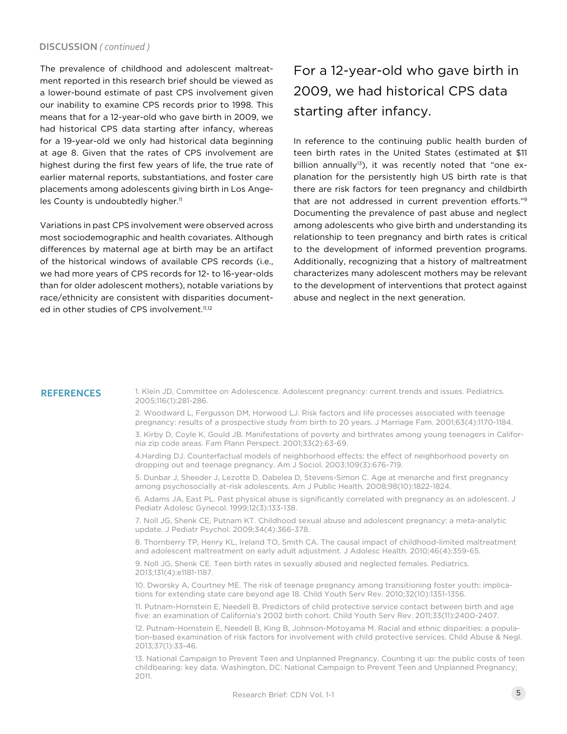#### **DISCUSSION** *( continued )*

The prevalence of childhood and adolescent maltreatment reported in this research brief should be viewed as a lower-bound estimate of past CPS involvement given our inability to examine CPS records prior to 1998. This means that for a 12-year-old who gave birth in 2009, we had historical CPS data starting after infancy, whereas for a 19-year-old we only had historical data beginning at age 8. Given that the rates of CPS involvement are highest during the first few years of life, the true rate of earlier maternal reports, substantiations, and foster care placements among adolescents giving birth in Los Angeles County is undoubtedly higher.<sup>11</sup>

Variations in past CPS involvement were observed across most sociodemographic and health covariates. Although differences by maternal age at birth may be an artifact of the historical windows of available CPS records (i.e., we had more years of CPS records for 12- to 16-year-olds than for older adolescent mothers), notable variations by race/ethnicity are consistent with disparities documented in other studies of CPS involvement.<sup>11,12</sup>

## For a 12-year-old who gave birth in 2009, we had historical CPS data starting after infancy.

In reference to the continuing public health burden of teen birth rates in the United States (estimated at \$11 billion annually<sup>13</sup>), it was recently noted that "one explanation for the persistently high US birth rate is that there are risk factors for teen pregnancy and childbirth that are not addressed in current prevention efforts."9 Documenting the prevalence of past abuse and neglect among adolescents who give birth and understanding its relationship to teen pregnancy and birth rates is critical to the development of informed prevention programs. Additionally, recognizing that a history of maltreatment characterizes many adolescent mothers may be relevant to the development of interventions that protect against abuse and neglect in the next generation.

REFERENCES 1. Klein JD, Committee on Adolescence. Adolescent pregnancy: current trends and issues. Pediatrics. 2005;116(1):281-286.

> 2. Woodward L, Fergusson DM, Horwood LJ. Risk factors and life processes associated with teenage pregnancy: results of a prospective study from birth to 20 years. J Marriage Fam. 2001;63(4):1170-1184.

3. Kirby D, Coyle K, Gould JB. Manifestations of poverty and birthrates among young teenagers in California zip code areas. Fam Plann Perspect. 2001;33(2):63-69.

4.Harding DJ. Counterfactual models of neighborhood effects: the effect of neighborhood poverty on dropping out and teenage pregnancy. Am J Sociol. 2003;109(3):676-719.

5. Dunbar J, Sheeder J, Lezotte D, Dabelea D, Stevens-Simon C. Age at menarche and first pregnancy among psychosocially at-risk adolescents. Am J Public Health. 2008;98(10):1822-1824.

6. Adams JA, East PL. Past physical abuse is significantly correlated with pregnancy as an adolescent. J Pediatr Adolesc Gynecol. 1999;12(3):133-138.

7. Noll JG, Shenk CE, Putnam KT. Childhood sexual abuse and adolescent pregnancy: a meta-analytic update. J Pediatr Psychol. 2009;34(4):366-378.

8. Thornberry TP, Henry KL, Ireland TO, Smith CA. The causal impact of childhood-limited maltreatment and adolescent maltreatment on early adult adjustment. J Adolesc Health. 2010;46(4):359-65.

9. Noll JG, Shenk CE. Teen birth rates in sexually abused and neglected females. Pediatrics. 2013;131(4):e1181-1187.

10. Dworsky A, Courtney ME. The risk of teenage pregnancy among transitioning foster youth: implications for extending state care beyond age 18. Child Youth Serv Rev. 2010;32(10):1351-1356.

11. Putnam-Hornstein E, Needell B. Predictors of child protective service contact between birth and age five: an examination of California's 2002 birth cohort. Child Youth Serv Rev. 2011;33(11):2400-2407.

12. Putnam-Hornstein E, Needell B, King B, Johnson-Motoyama M. Racial and ethnic disparities: a population-based examination of risk factors for involvement with child protective services. Child Abuse & Negl. 2013;37(1):33-46.

13. National Campaign to Prevent Teen and Unplanned Pregnancy. Counting it up: the public costs of teen childbearing: key data. Washington, DC: National Campaign to Prevent Teen and Unplanned Pregnancy; 2011.